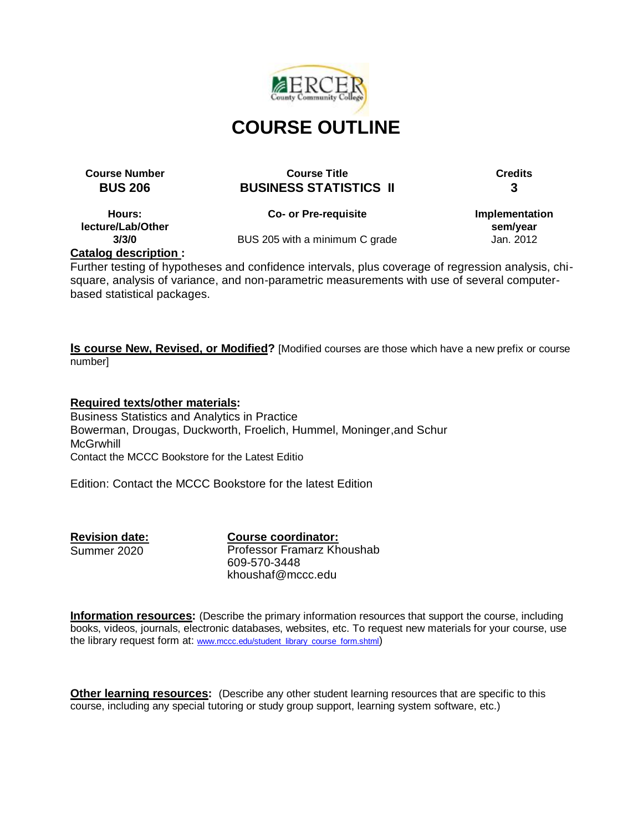

# **Course Number Course Title Credits BUS 206 BUSINESS STATISTICS II 3**

**Hours: lecture/Lab/Other 3/3/0**

**Co- or Pre-requisite**

**Implementation sem/year** Jan. 2012

BUS 205 with a minimum C grade

**Catalog description :**

Further testing of hypotheses and confidence intervals, plus coverage of regression analysis, chisquare, analysis of variance, and non-parametric measurements with use of several computerbased statistical packages.

**Is course New, Revised, or Modified?** [Modified courses are those which have a new prefix or course number]

**Required texts/other materials:** Business Statistics and Analytics in Practice Bowerman, Drougas, Duckworth, Froelich, Hummel, Moninger,and Schur **McGrwhill** Contact the MCCC Bookstore for the Latest Editio

Edition: Contact the MCCC Bookstore for the latest Edition

**Revision date:** Summer 2020

**Course coordinator:** Professor Framarz Khoushab 609-570-3448 khoushaf@mccc.edu

**Information resources:** (Describe the primary information resources that support the course, including books, videos, journals, electronic databases, websites, etc. To request new materials for your course, use the library request form at: [www.mccc.edu/student\\_library\\_course\\_form.shtml](http://www.mccc.edu/student_library_course_form.shtml))

**Other learning resources:** (Describe any other student learning resources that are specific to this course, including any special tutoring or study group support, learning system software, etc.)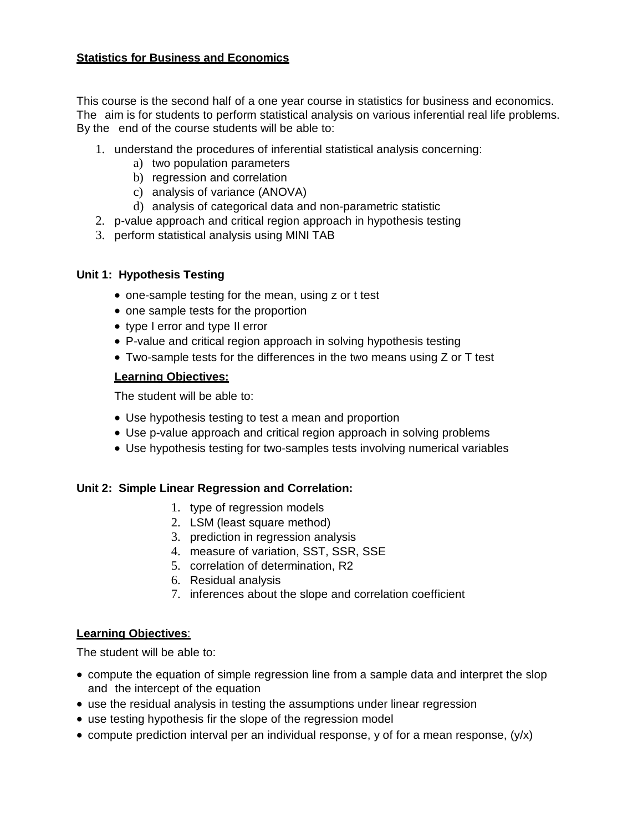## **Statistics for Business and Economics**

This course is the second half of a one year course in statistics for business and economics. The aim is for students to perform statistical analysis on various inferential real life problems. By the end of the course students will be able to:

- 1. understand the procedures of inferential statistical analysis concerning:
	- a) two population parameters
	- b) regression and correlation
	- c) analysis of variance (ANOVA)
	- d) analysis of categorical data and non-parametric statistic
- 2. p-value approach and critical region approach in hypothesis testing
- 3. perform statistical analysis using MINI TAB

#### **Unit 1: Hypothesis Testing**

- one-sample testing for the mean, using z or t test
- one sample tests for the proportion
- type I error and type II error
- P-value and critical region approach in solving hypothesis testing
- Two-sample tests for the differences in the two means using Z or T test

#### **Learning Objectives:**

The student will be able to:

- Use hypothesis testing to test a mean and proportion
- Use p-value approach and critical region approach in solving problems
- Use hypothesis testing for two-samples tests involving numerical variables

#### **Unit 2: Simple Linear Regression and Correlation:**

- 1. type of regression models
- 2. LSM (least square method)
- 3. prediction in regression analysis
- 4. measure of variation, SST, SSR, SSE
- 5. correlation of determination, R2
- 6. Residual analysis
- 7. inferences about the slope and correlation coefficient

#### **Learning Objectives**:

The student will be able to:

- compute the equation of simple regression line from a sample data and interpret the slop and the intercept of the equation
- use the residual analysis in testing the assumptions under linear regression
- use testing hypothesis fir the slope of the regression model
- compute prediction interval per an individual response, y of for a mean response,  $(y/x)$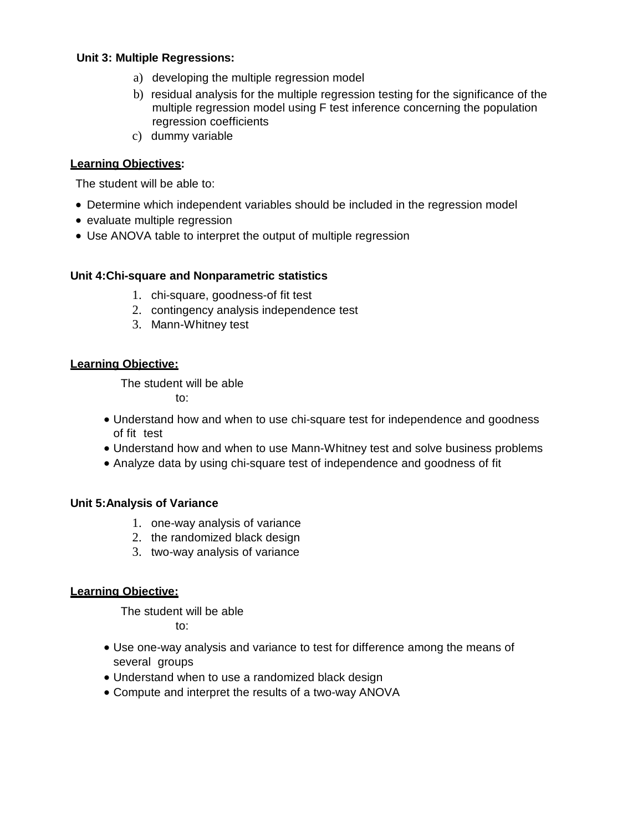### **Unit 3: Multiple Regressions:**

- a) developing the multiple regression model
- b) residual analysis for the multiple regression testing for the significance of the multiple regression model using F test inference concerning the population regression coefficients
- c) dummy variable

### **Learning Objectives:**

The student will be able to:

- Determine which independent variables should be included in the regression model
- evaluate multiple regression
- Use ANOVA table to interpret the output of multiple regression

#### **Unit 4:Chi-square and Nonparametric statistics**

- 1. chi-square, goodness-of fit test
- 2. contingency analysis independence test
- 3. Mann-Whitney test

## **Learning Objective:**

The student will be able to:

- Understand how and when to use chi-square test for independence and goodness of fit test
- Understand how and when to use Mann-Whitney test and solve business problems
- Analyze data by using chi-square test of independence and goodness of fit

### **Unit 5:Analysis of Variance**

- 1. one-way analysis of variance
- 2. the randomized black design
- 3. two-way analysis of variance

#### **Learning Objective:**

The student will be able to:

- Use one-way analysis and variance to test for difference among the means of several groups
- Understand when to use a randomized black design
- Compute and interpret the results of a two-way ANOVA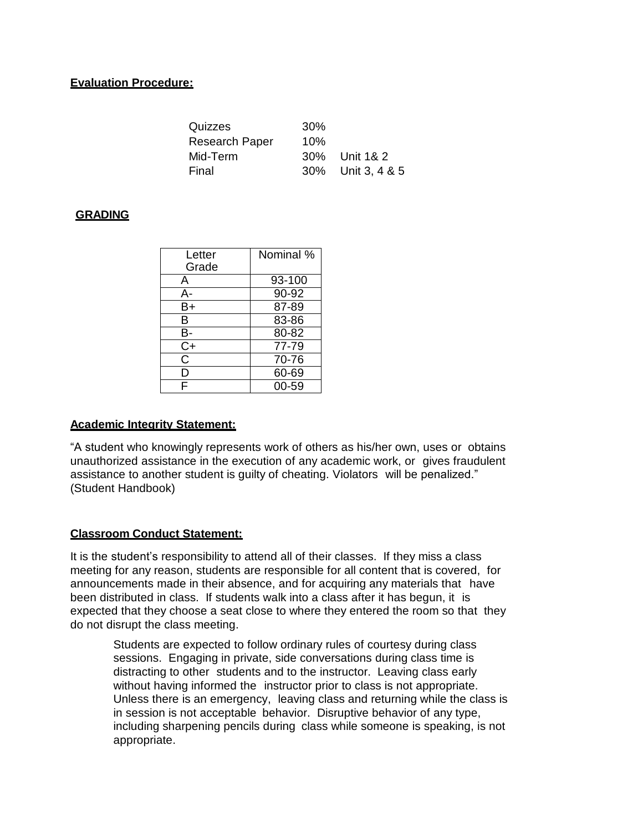## **Evaluation Procedure:**

| Quizzes        | 30% |                   |
|----------------|-----|-------------------|
| Research Paper | 10% |                   |
| Mid-Term       |     | 30% Unit 1& 2     |
| Final          |     | 30% Unit 3, 4 & 5 |

### **GRADING**

| Letter<br>Grade | Nominal % |
|-----------------|-----------|
| A               | 93-100    |
| А-              | 90-92     |
| B+              | 87-89     |
| B               | 83-86     |
| в-              | 80-82     |
| $C+$            | 77-79     |
| C               | 70-76     |
| D               | 60-69     |
| F               | 00-59     |

## **Academic Integrity Statement:**

"A student who knowingly represents work of others as his/her own, uses or obtains unauthorized assistance in the execution of any academic work, or gives fraudulent assistance to another student is guilty of cheating. Violators will be penalized." (Student Handbook)

#### **Classroom Conduct Statement:**

It is the student's responsibility to attend all of their classes. If they miss a class meeting for any reason, students are responsible for all content that is covered, for announcements made in their absence, and for acquiring any materials that have been distributed in class. If students walk into a class after it has begun, it is expected that they choose a seat close to where they entered the room so that they do not disrupt the class meeting.

Students are expected to follow ordinary rules of courtesy during class sessions. Engaging in private, side conversations during class time is distracting to other students and to the instructor. Leaving class early without having informed the instructor prior to class is not appropriate. Unless there is an emergency, leaving class and returning while the class is in session is not acceptable behavior. Disruptive behavior of any type, including sharpening pencils during class while someone is speaking, is not appropriate.